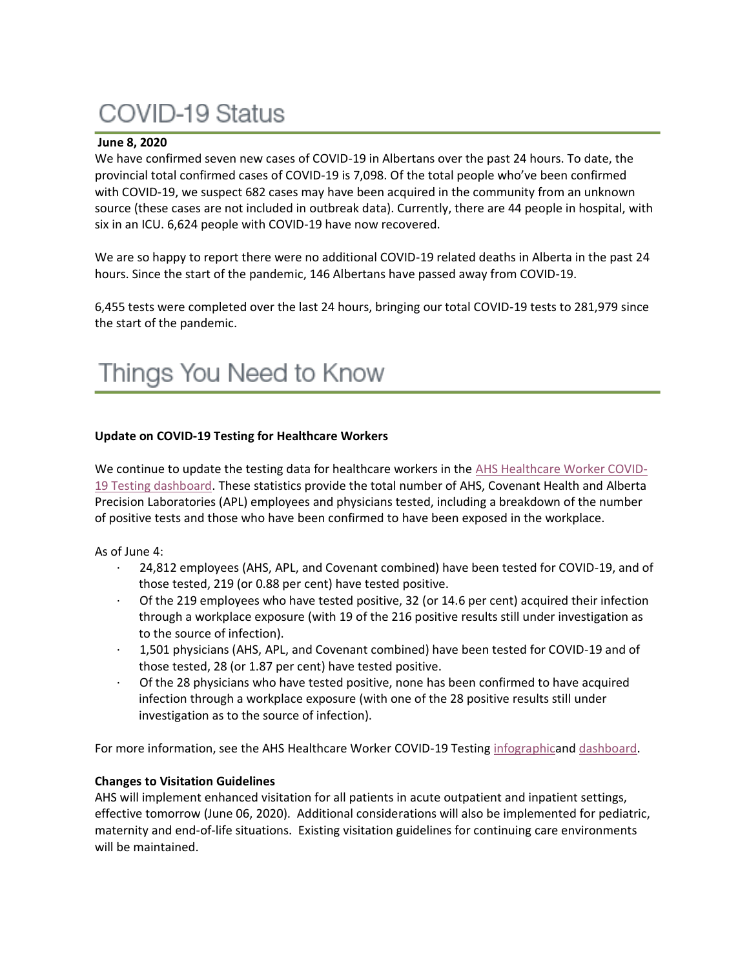# **COVID-19 Status**

# **June 8, 2020**

We have confirmed seven new cases of COVID-19 in Albertans over the past 24 hours. To date, the provincial total confirmed cases of COVID-19 is 7,098. Of the total people who've been confirmed with COVID-19, we suspect 682 cases may have been acquired in the community from an unknown source (these cases are not included in outbreak data). Currently, there are 44 people in hospital, with six in an ICU. 6,624 people with COVID-19 have now recovered.

We are so happy to report there were no additional COVID-19 related deaths in Alberta in the past 24 hours. Since the start of the pandemic, 146 Albertans have passed away from COVID-19.

6,455 tests were completed over the last 24 hours, bringing our total COVID-19 tests to 281,979 since the start of the pandemic.

### **Update on COVID-19 Testing for Healthcare Workers**

We continue to update the testing data for healthcare workers in the [AHS Healthcare Worker COVID-](https://tableau.albertahealthservices.ca/#/views/AHSEmployeePhysicianCOVID-19TestSurveillanceDashboard/Introduction?:iid=1)[19 Testing dashboard.](https://tableau.albertahealthservices.ca/#/views/AHSEmployeePhysicianCOVID-19TestSurveillanceDashboard/Introduction?:iid=1) These statistics provide the total number of AHS, Covenant Health and Alberta Precision Laboratories (APL) employees and physicians tested, including a breakdown of the number of positive tests and those who have been confirmed to have been exposed in the workplace.

As of June 4:

- · 24,812 employees (AHS, APL, and Covenant combined) have been tested for COVID-19, and of those tested, 219 (or 0.88 per cent) have tested positive.
- · Of the 219 employees who have tested positive, 32 (or 14.6 per cent) acquired their infection through a workplace exposure (with 19 of the 216 positive results still under investigation as to the source of infection).
- · 1,501 physicians (AHS, APL, and Covenant combined) have been tested for COVID-19 and of those tested, 28 (or 1.87 per cent) have tested positive.
- · Of the 28 physicians who have tested positive, none has been confirmed to have acquired infection through a workplace exposure (with one of the 28 positive results still under investigation as to the source of infection).

For more information, see the AHS Healthcare Worker COVID-19 Testing [infographica](https://insite.albertahealthservices.ca/main/assets/tls/ep/tls-ep-covid-19-healthcare-worker-testing-infographic.pdf)nd [dashboard.](https://tableau.albertahealthservices.ca/#/views/AHSEmployeePhysicianCOVID-19TestSurveillanceDashboard/Introduction?:iid=1)

# **Changes to Visitation Guidelines**

AHS will implement enhanced visitation for all patients in acute outpatient and inpatient settings, effective tomorrow (June 06, 2020). Additional considerations will also be implemented for pediatric, maternity and end-of-life situations. Existing visitation guidelines for continuing care environments will be maintained.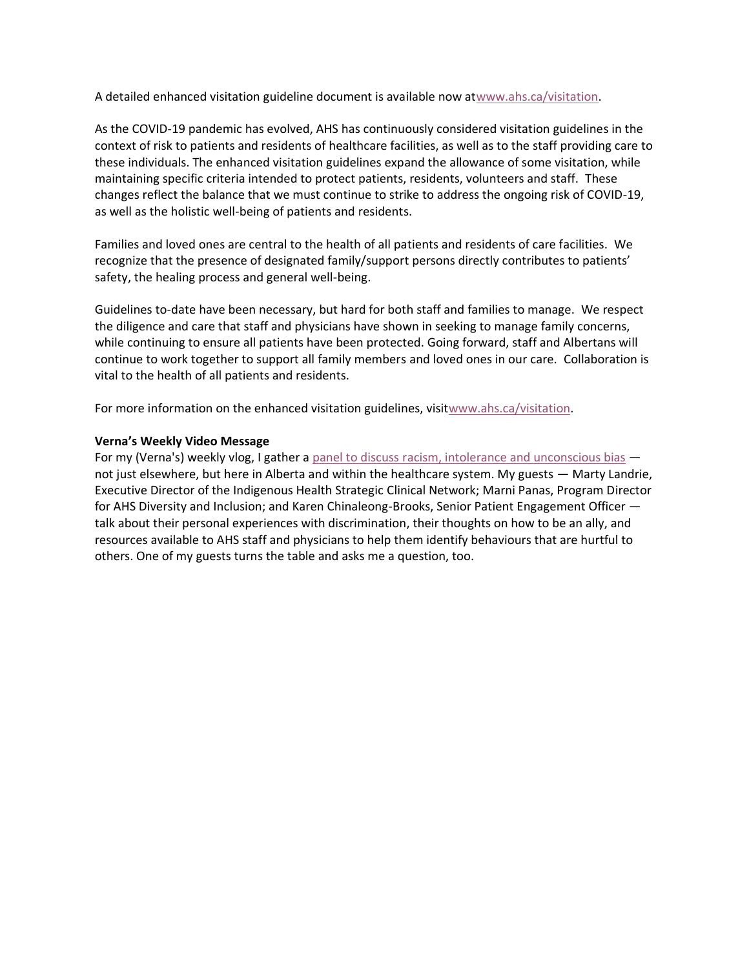A detailed enhanced visitation guideline document is available now a[twww.ahs.ca/visitation.](http://www.ahs.ca/visitation)

As the COVID-19 pandemic has evolved, AHS has continuously considered visitation guidelines in the context of risk to patients and residents of healthcare facilities, as well as to the staff providing care to these individuals. The enhanced visitation guidelines expand the allowance of some visitation, while maintaining specific criteria intended to protect patients, residents, volunteers and staff. These changes reflect the balance that we must continue to strike to address the ongoing risk of COVID-19, as well as the holistic well-being of patients and residents.

Families and loved ones are central to the health of all patients and residents of care facilities. We recognize that the presence of designated family/support persons directly contributes to patients' safety, the healing process and general well-being.

Guidelines to-date have been necessary, but hard for both staff and families to manage. We respect the diligence and care that staff and physicians have shown in seeking to manage family concerns, while continuing to ensure all patients have been protected. Going forward, staff and Albertans will continue to work together to support all family members and loved ones in our care. Collaboration is vital to the health of all patients and residents.

For more information on the enhanced visitation guidelines, visi[twww.ahs.ca/visitation.](http://www.ahs.ca/visitation)

### **Verna's Weekly Video Message**

For my (Verna's) weekly vlog, I gather a [panel to discuss racism, intolerance and unconscious bias](https://www.albertahealthservices.ca/Blogs/ceo/275.aspx#.Xtr6nWhKiUk) not just elsewhere, but here in Alberta and within the healthcare system. My guests — Marty Landrie, Executive Director of the Indigenous Health Strategic Clinical Network; Marni Panas, Program Director for AHS Diversity and Inclusion; and Karen Chinaleong-Brooks, Senior Patient Engagement Officer talk about their personal experiences with discrimination, their thoughts on how to be an ally, and resources available to AHS staff and physicians to help them identify behaviours that are hurtful to others. One of my guests turns the table and asks me a question, too.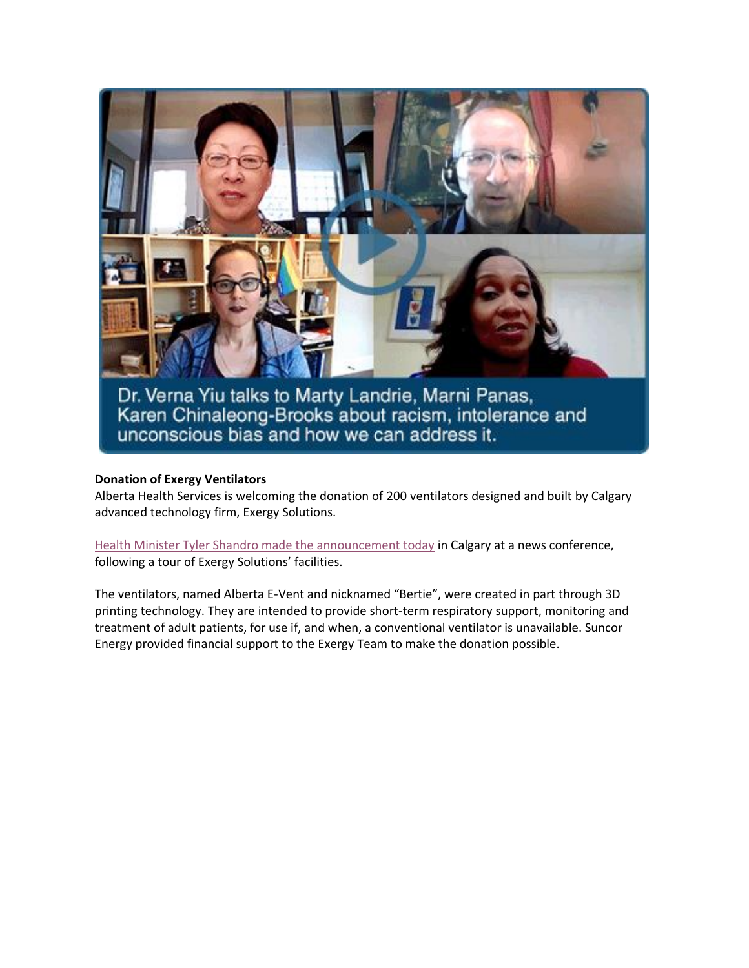

Dr. Verna Yiu talks to Marty Landrie, Marni Panas, Karen Chinaleong-Brooks about racism, intolerance and unconscious bias and how we can address it.

# **Donation of Exergy Ventilators**

Alberta Health Services is welcoming the donation of 200 ventilators designed and built by Calgary advanced technology firm, Exergy Solutions.

[Health Minister Tyler Shandro made the announcement today](https://www.alberta.ca/release.cfm?xID=725393BC1CE37-F44C-2A11-DBA9540569825308) in Calgary at a news conference, following a tour of Exergy Solutions' facilities.

The ventilators, named Alberta E-Vent and nicknamed "Bertie", were created in part through 3D printing technology. They are intended to provide short-term respiratory support, monitoring and treatment of adult patients, for use if, and when, a conventional ventilator is unavailable. Suncor Energy provided financial support to the Exergy Team to make the donation possible.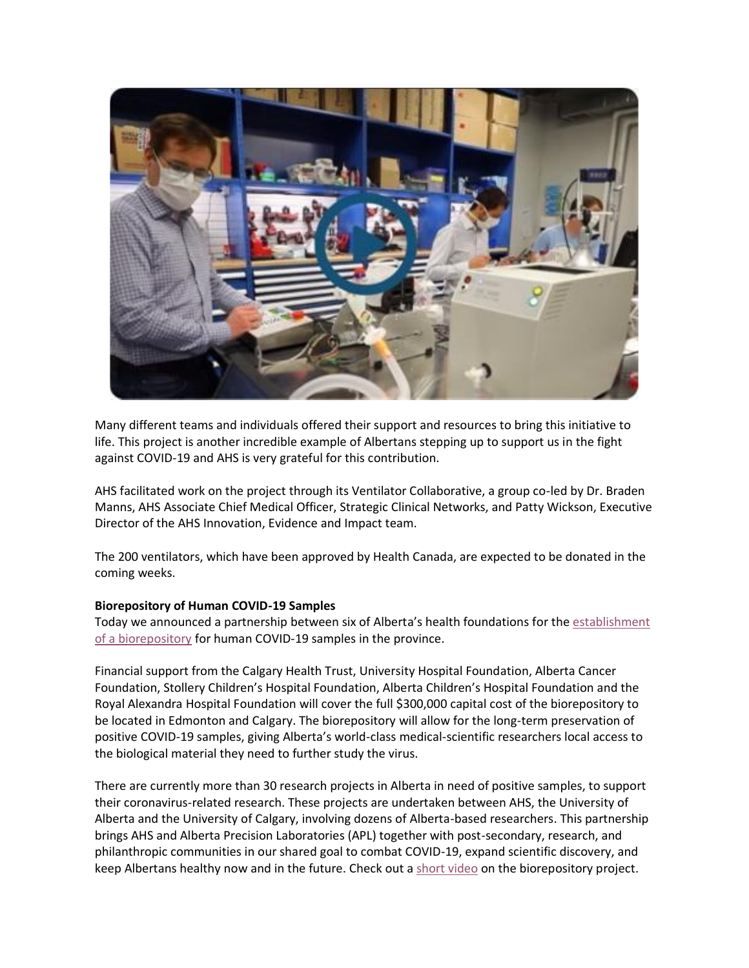

Many different teams and individuals offered their support and resources to bring this initiative to life. This project is another incredible example of Albertans stepping up to support us in the fight against COVID-19 and AHS is very grateful for this contribution.

AHS facilitated work on the project through its Ventilator Collaborative, a group co-led by Dr. Braden Manns, AHS Associate Chief Medical Officer, Strategic Clinical Networks, and Patty Wickson, Executive Director of the AHS Innovation, Evidence and Impact team.

The 200 ventilators, which have been approved by Health Canada, are expected to be donated in the coming weeks.

### **Biorepository of Human COVID-19 Samples**

Today we announced a partnership between six of Alberta's health foundations for the [establishment](https://www.alberta.ca/release.cfm?xID=725313252C749-A125-5C83-31A41ABBFCB760AD)  [of a biorepository](https://www.alberta.ca/release.cfm?xID=725313252C749-A125-5C83-31A41ABBFCB760AD) for human COVID-19 samples in the province.

Financial support from the Calgary Health Trust, University Hospital Foundation, Alberta Cancer Foundation, Stollery Children's Hospital Foundation, Alberta Children's Hospital Foundation and the Royal Alexandra Hospital Foundation will cover the full \$300,000 capital cost of the biorepository to be located in Edmonton and Calgary. The biorepository will allow for the long-term preservation of positive COVID-19 samples, giving Alberta's world-class medical-scientific researchers local access to the biological material they need to further study the virus.

There are currently more than 30 research projects in Alberta in need of positive samples, to support their coronavirus-related research. These projects are undertaken between AHS, the University of Alberta and the University of Calgary, involving dozens of Alberta-based researchers. This partnership brings AHS and Alberta Precision Laboratories (APL) together with post-secondary, research, and philanthropic communities in our shared goal to combat COVID-19, expand scientific discovery, and keep Albertans healthy now and in the future. Check out a [short video](https://www.albertahealthservices.ca/news/features/2020/Page15515.aspx) on the biorepository project.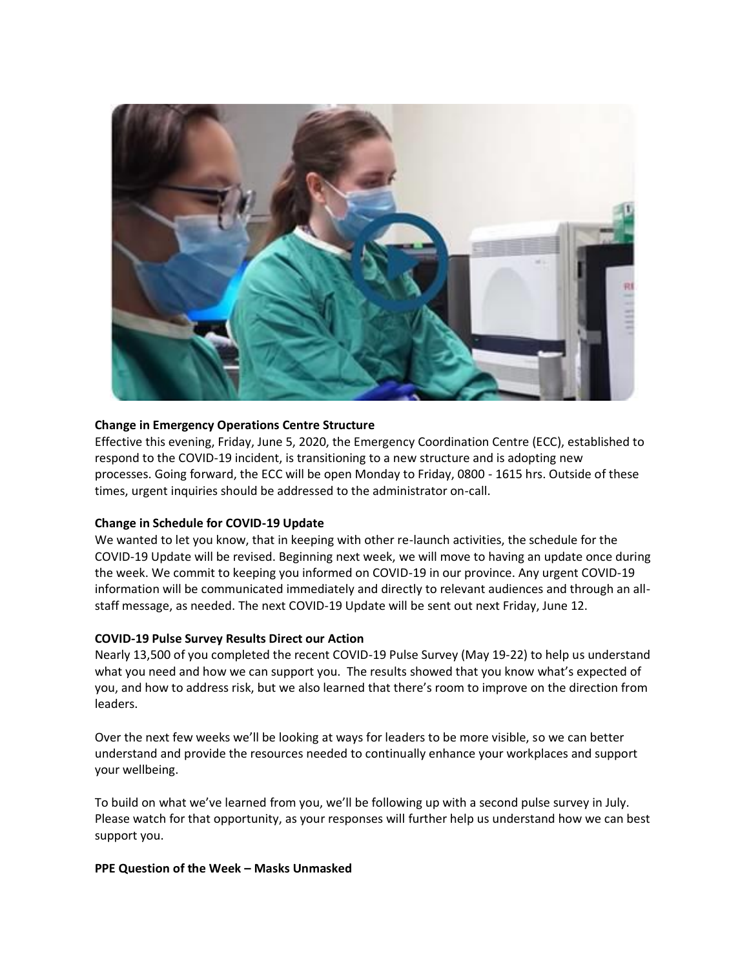

### **Change in Emergency Operations Centre Structure**

Effective this evening, Friday, June 5, 2020, the Emergency Coordination Centre (ECC), established to respond to the COVID-19 incident, is transitioning to a new structure and is adopting new processes. Going forward, the ECC will be open Monday to Friday, 0800 - 1615 hrs. Outside of these times, urgent inquiries should be addressed to the administrator on-call.

# **Change in Schedule for COVID-19 Update**

We wanted to let you know, that in keeping with other re-launch activities, the schedule for the COVID-19 Update will be revised. Beginning next week, we will move to having an update once during the week. We commit to keeping you informed on COVID-19 in our province. Any urgent COVID-19 information will be communicated immediately and directly to relevant audiences and through an allstaff message, as needed. The next COVID-19 Update will be sent out next Friday, June 12.

# **COVID-19 Pulse Survey Results Direct our Action**

Nearly 13,500 of you completed the recent COVID-19 Pulse Survey (May 19-22) to help us understand what you need and how we can support you. The results showed that you know what's expected of you, and how to address risk, but we also learned that there's room to improve on the direction from leaders.

Over the next few weeks we'll be looking at ways for leaders to be more visible, so we can better understand and provide the resources needed to continually enhance your workplaces and support your wellbeing.

To build on what we've learned from you, we'll be following up with a second pulse survey in July. Please watch for that opportunity, as your responses will further help us understand how we can best support you.

### **PPE Question of the Week – Masks Unmasked**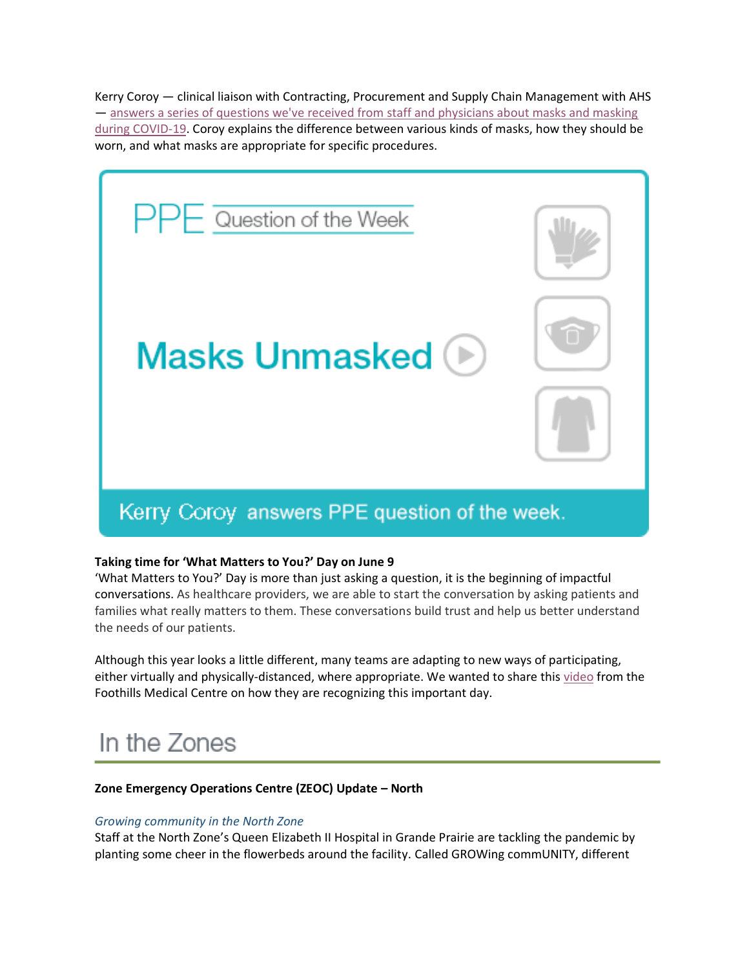Kerry Coroy — clinical liaison with Contracting, Procurement and Supply Chain Management with AHS — [answers a series of questions we've received from staff and physicians about masks and masking](https://www.albertahealthservices.ca/topics/Page17119.aspx#ppedodont)  [during COVID-19.](https://www.albertahealthservices.ca/topics/Page17119.aspx#ppedodont) Coroy explains the difference between various kinds of masks, how they should be worn, and what masks are appropriate for specific procedures.



# **Taking time for 'What Matters to You?' Day on June 9**

'What Matters to You?' Day is more than just asking a question, it is the beginning of impactful conversations. As healthcare providers, we are able to start the conversation by asking patients and families what really matters to them. These conversations build trust and help us better understand the needs of our patients.

Although this year looks a little different, many teams are adapting to new ways of participating, either virtually and physically-distanced, where appropriate. We wanted to share this [video](https://www.youtube.com/watch?v=9tG9icVSAF0&feature=youtu.be) from the Foothills Medical Centre on how they are recognizing this important day.

# In the Zones

### **Zone Emergency Operations Centre (ZEOC) Update – North**

### *Growing community in the North Zone*

Staff at the North Zone's Queen Elizabeth II Hospital in Grande Prairie are tackling the pandemic by planting some cheer in the flowerbeds around the facility. Called GROWing commUNITY, different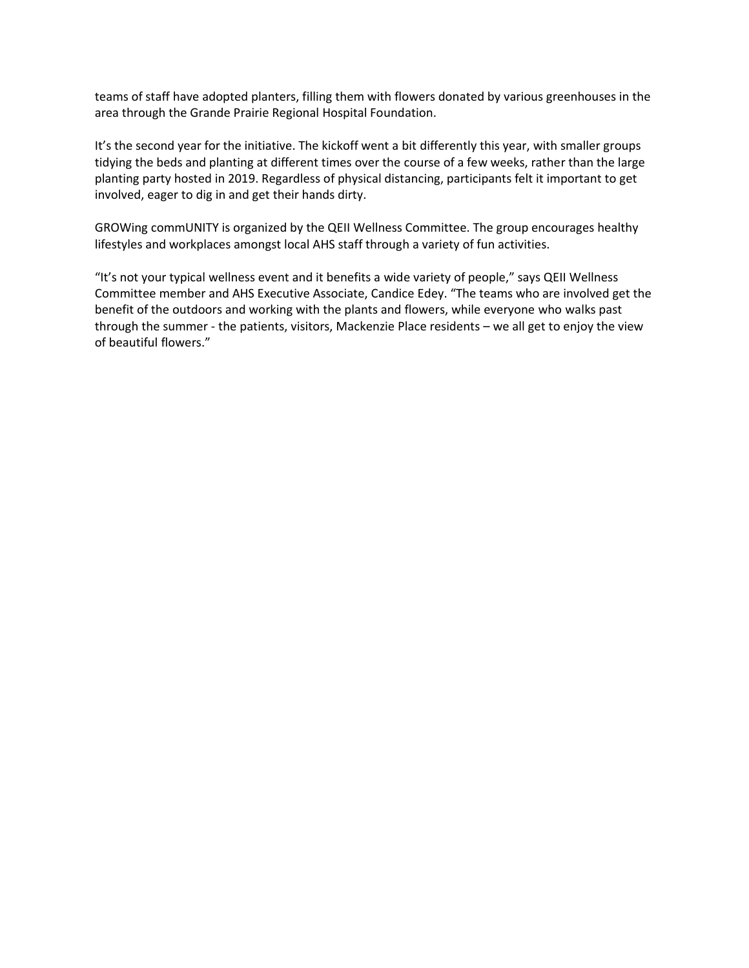teams of staff have adopted planters, filling them with flowers donated by various greenhouses in the area through the Grande Prairie Regional Hospital Foundation.

It's the second year for the initiative. The kickoff went a bit differently this year, with smaller groups tidying the beds and planting at different times over the course of a few weeks, rather than the large planting party hosted in 2019. Regardless of physical distancing, participants felt it important to get involved, eager to dig in and get their hands dirty.

GROWing commUNITY is organized by the QEII Wellness Committee. The group encourages healthy lifestyles and workplaces amongst local AHS staff through a variety of fun activities.

"It's not your typical wellness event and it benefits a wide variety of people," says QEII Wellness Committee member and AHS Executive Associate, Candice Edey. "The teams who are involved get the benefit of the outdoors and working with the plants and flowers, while everyone who walks past through the summer - the patients, visitors, Mackenzie Place residents – we all get to enjoy the view of beautiful flowers."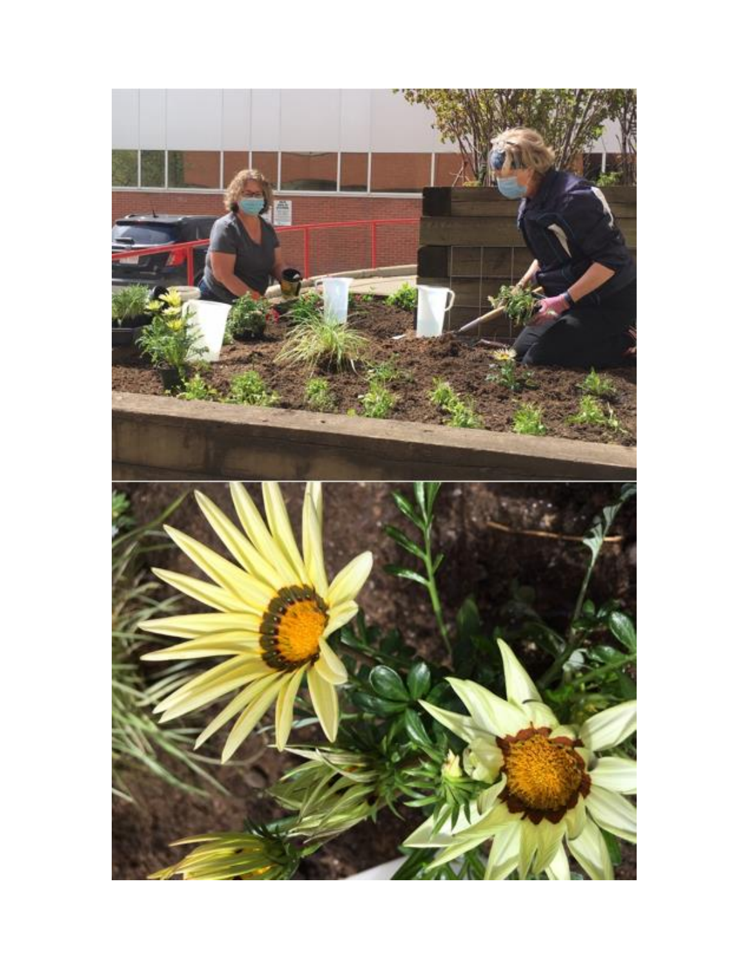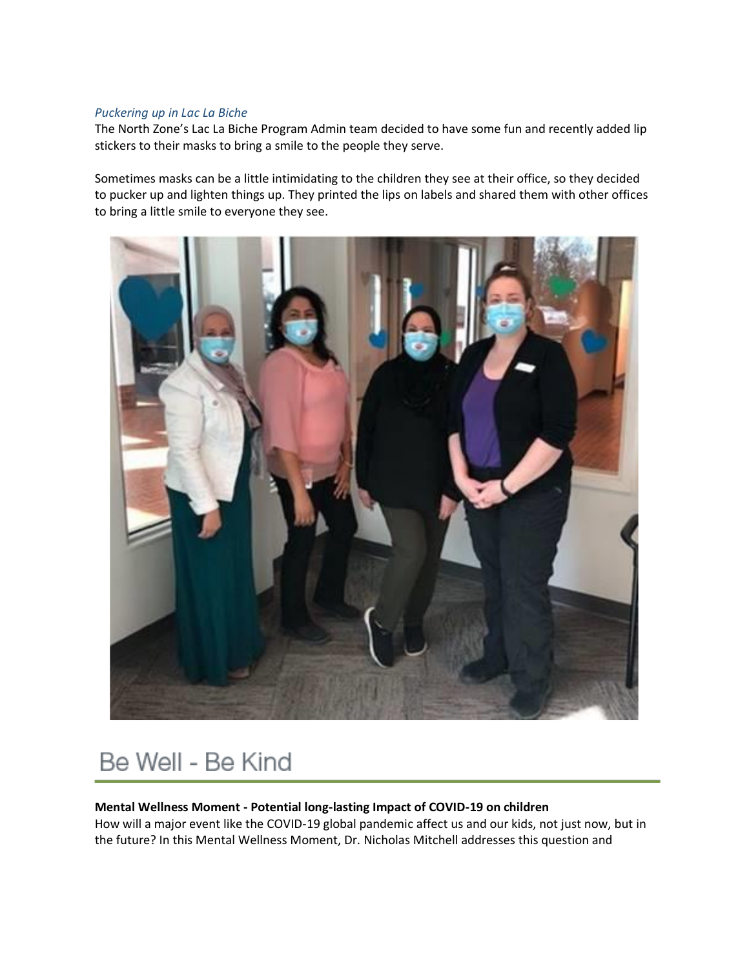# *Puckering up in Lac La Biche*

The North Zone's Lac La Biche Program Admin team decided to have some fun and recently added lip stickers to their masks to bring a smile to the people they serve.

Sometimes masks can be a little intimidating to the children they see at their office, so they decided to pucker up and lighten things up. They printed the lips on labels and shared them with other offices to bring a little smile to everyone they see.



# Be Well - Be Kind

# **Mental Wellness Moment - Potential long-lasting Impact of COVID-19 on children**

How will a major event like the COVID-19 global pandemic affect us and our kids, not just now, but in the future? In this Mental Wellness Moment, Dr. Nicholas Mitchell addresses this question and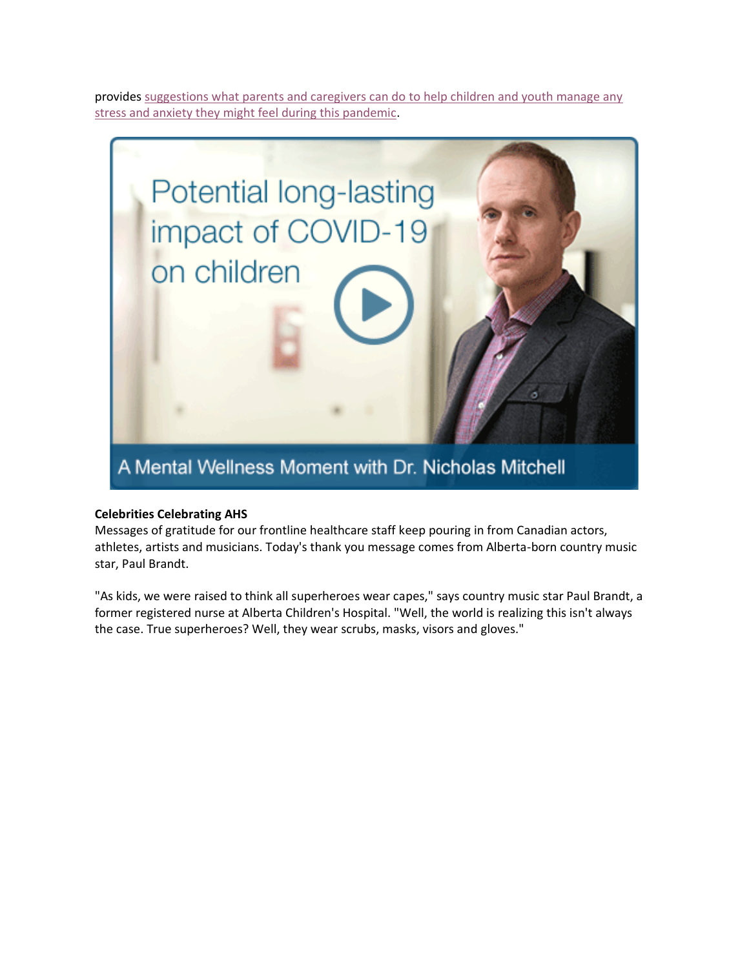provides suggestions what parents and caregivers can do to help children and youth manage any [stress and anxiety they might feel during this pandemic.](https://www.albertahealthservices.ca/topics/Page17012.aspx)



# **Celebrities Celebrating AHS**

Messages of gratitude for our frontline healthcare staff keep pouring in from Canadian actors, athletes, artists and musicians. Today's thank you message comes from Alberta-born country music star, Paul Brandt.

"As kids, we were raised to think all superheroes wear capes," says country music star Paul Brandt, a former registered nurse at Alberta Children's Hospital. "Well, the world is realizing this isn't always the case. True superheroes? Well, they wear scrubs, masks, visors and gloves."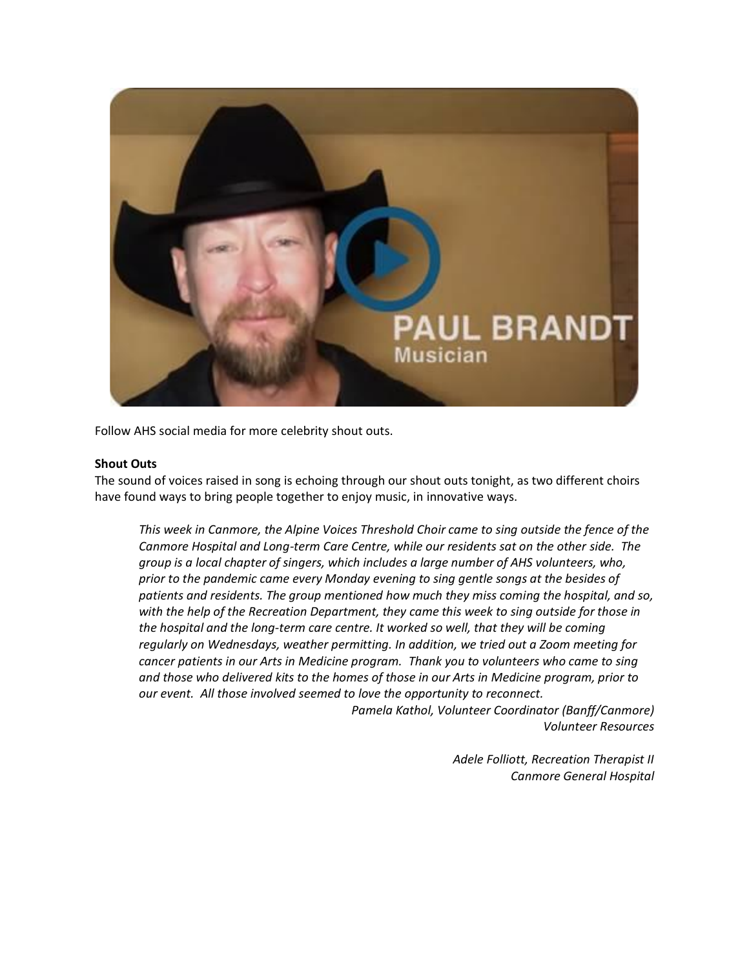

Follow AHS social media for more celebrity shout outs.

### **Shout Outs**

The sound of voices raised in song is echoing through our shout outs tonight, as two different choirs have found ways to bring people together to enjoy music, in innovative ways.

*This week in Canmore, the Alpine Voices Threshold Choir came to sing outside the fence of the Canmore Hospital and Long-term Care Centre, while our residents sat on the other side. The group is a local chapter of singers, which includes a large number of AHS volunteers, who, prior to the pandemic came every Monday evening to sing gentle songs at the besides of patients and residents. The group mentioned how much they miss coming the hospital, and so, with the help of the Recreation Department, they came this week to sing outside for those in the hospital and the long-term care centre. It worked so well, that they will be coming regularly on Wednesdays, weather permitting. In addition, we tried out a Zoom meeting for cancer patients in our Arts in Medicine program. Thank you to volunteers who came to sing and those who delivered kits to the homes of those in our Arts in Medicine program, prior to our event. All those involved seemed to love the opportunity to reconnect.*

> *Pamela Kathol, Volunteer Coordinator (Banff/Canmore) Volunteer Resources*

> > *Adele Folliott, Recreation Therapist II Canmore General Hospital*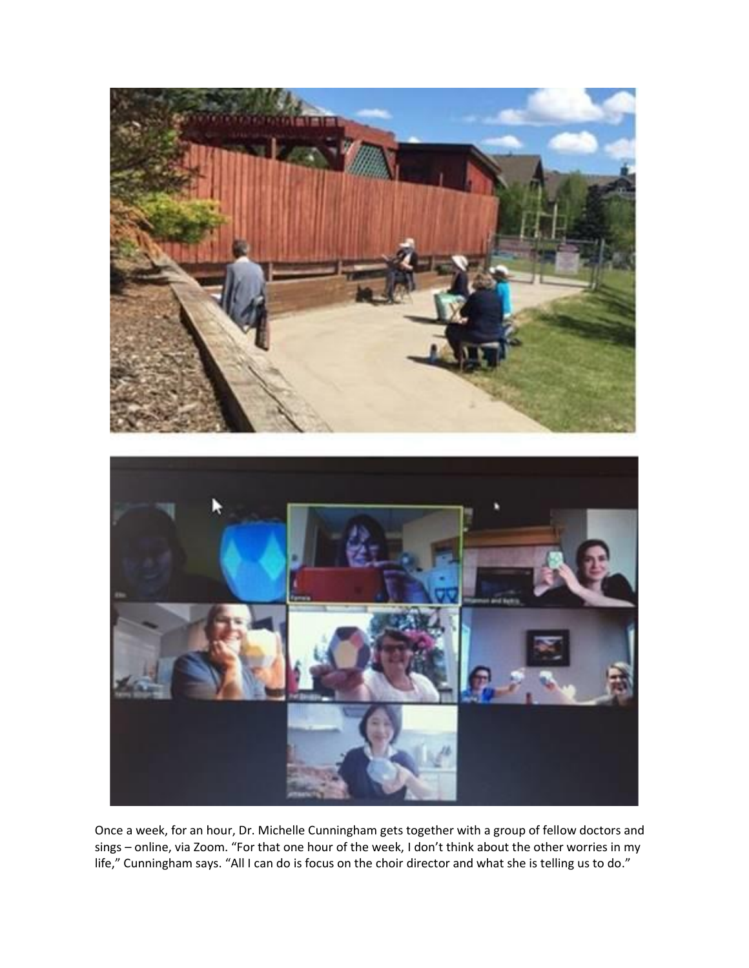

Once a week, for an hour, Dr. Michelle Cunningham gets together with a group of fellow doctors and sings – online, via Zoom. "For that one hour of the week, I don't think about the other worries in my life," Cunningham says. "All I can do is focus on the choir director and what she is telling us to do."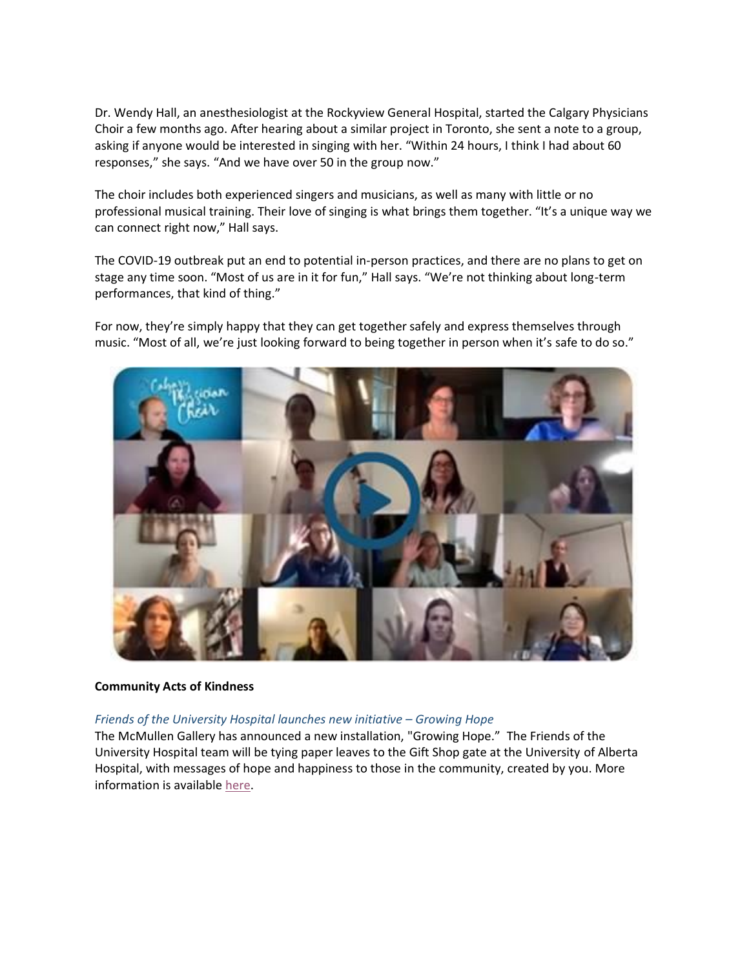Dr. Wendy Hall, an anesthesiologist at the Rockyview General Hospital, started the Calgary Physicians Choir a few months ago. After hearing about a similar project in Toronto, she sent a note to a group, asking if anyone would be interested in singing with her. "Within 24 hours, I think I had about 60 responses," she says. "And we have over 50 in the group now."

The choir includes both experienced singers and musicians, as well as many with little or no professional musical training. Their love of singing is what brings them together. "It's a unique way we can connect right now," Hall says.

The COVID-19 outbreak put an end to potential in-person practices, and there are no plans to get on stage any time soon. "Most of us are in it for fun," Hall says. "We're not thinking about long-term performances, that kind of thing."

For now, they're simply happy that they can get together safely and express themselves through music. "Most of all, we're just looking forward to being together in person when it's safe to do so."



### **Community Acts of Kindness**

# *Friends of the University Hospital launches new initiative – Growing Hope*

The McMullen Gallery has announced a new installation, "Growing Hope." The Friends of the University Hospital team will be tying paper leaves to the Gift Shop gate at the University of Alberta Hospital, with messages of hope and happiness to those in the community, created by you. More information is available [here.](http://www.friendsofuah.org/news-1-1/2020/5/25/leaf-a-message-for-a-frontline-worker)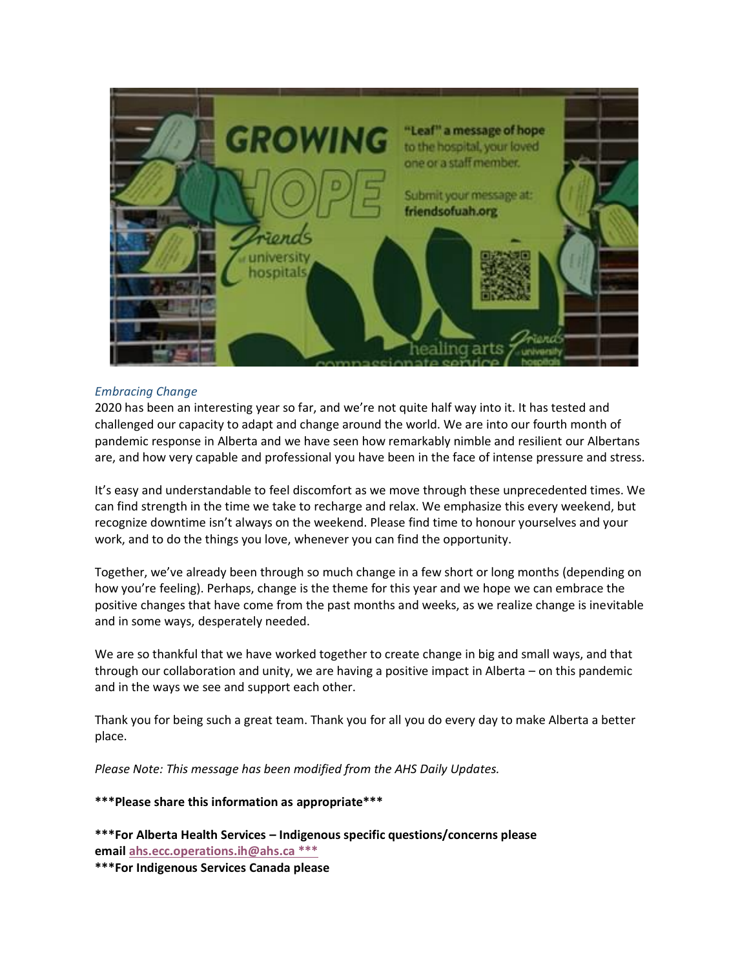

### *Embracing Change*

2020 has been an interesting year so far, and we're not quite half way into it. It has tested and challenged our capacity to adapt and change around the world. We are into our fourth month of pandemic response in Alberta and we have seen how remarkably nimble and resilient our Albertans are, and how very capable and professional you have been in the face of intense pressure and stress.

It's easy and understandable to feel discomfort as we move through these unprecedented times. We can find strength in the time we take to recharge and relax. We emphasize this every weekend, but recognize downtime isn't always on the weekend. Please find time to honour yourselves and your work, and to do the things you love, whenever you can find the opportunity.

Together, we've already been through so much change in a few short or long months (depending on how you're feeling). Perhaps, change is the theme for this year and we hope we can embrace the positive changes that have come from the past months and weeks, as we realize change is inevitable and in some ways, desperately needed.

We are so thankful that we have worked together to create change in big and small ways, and that through our collaboration and unity, we are having a positive impact in Alberta – on this pandemic and in the ways we see and support each other.

Thank you for being such a great team. Thank you for all you do every day to make Alberta a better place.

*Please Note: This message has been modified from the AHS Daily Updates.*

**\*\*\*Please share this information as appropriate\*\*\***

**\*\*\*For Alberta Health Services – Indigenous specific questions/concerns please email [ahs.ecc.operations.ih@ahs.ca \\*\\*\\*](mailto:ahs.ecc.operations.ih@ahs.ca%20***)**

**\*\*\*For Indigenous Services Canada please**